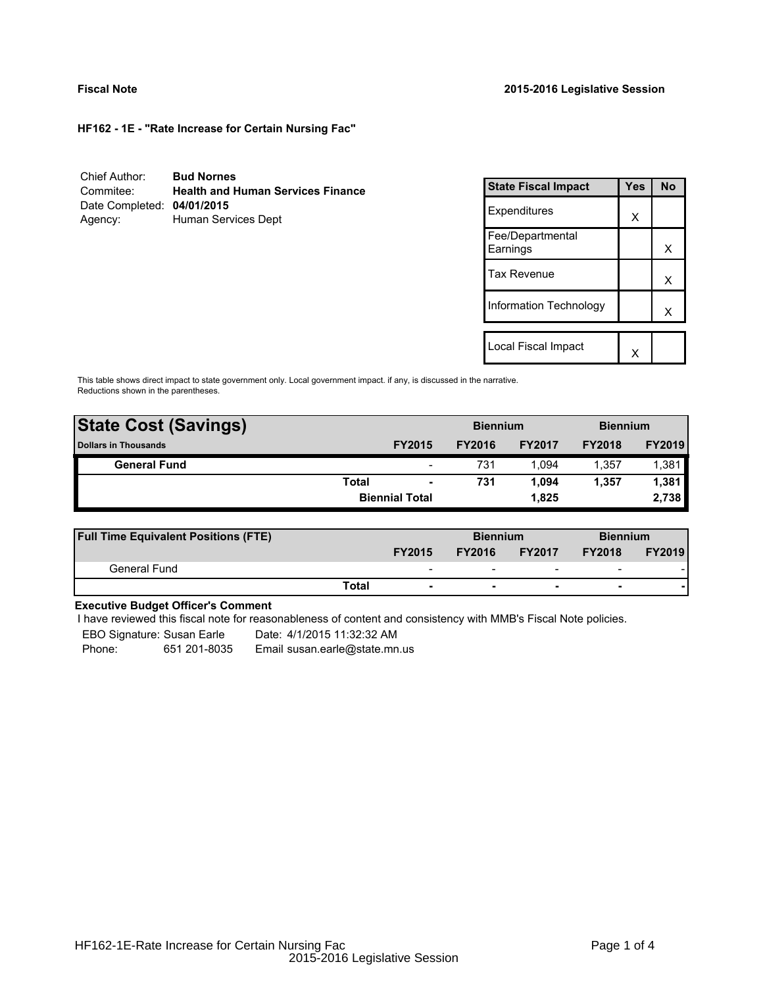**HF162 - 1E - "Rate Increase for Certain Nursing Fac"**

| Chief Author:              | <b>Bud Nornes</b>                        |
|----------------------------|------------------------------------------|
| Commitee:                  | <b>Health and Human Services Finance</b> |
| Date Completed: 04/01/2015 |                                          |
| Agency:                    | Human Services Dept                      |

| <b>State Fiscal Impact</b>   | Yes | N٥ |
|------------------------------|-----|----|
| Expenditures                 | X   |    |
| Fee/Departmental<br>Earnings |     | x  |
| <b>Tax Revenue</b>           |     | x  |
| Information Technology       |     | x  |
|                              |     |    |
| Local Fiscal Impact          |     |    |

This table shows direct impact to state government only. Local government impact. if any, is discussed in the narrative. Reductions shown in the parentheses.

| <b>State Cost (Savings)</b> |       |                          | <b>Biennium</b> |               | <b>Biennium</b> |               |  |  |
|-----------------------------|-------|--------------------------|-----------------|---------------|-----------------|---------------|--|--|
| <b>Dollars in Thousands</b> |       | <b>FY2015</b>            | <b>FY2016</b>   | <b>FY2017</b> | <b>FY2018</b>   | <b>FY2019</b> |  |  |
| <b>General Fund</b>         |       | $\overline{\phantom{0}}$ | 731             | 1.094         | 1.357           | 1,381         |  |  |
|                             | Total | $\blacksquare$           | 731             | 1.094         | 1.357           | 1,381         |  |  |
|                             |       | <b>Biennial Total</b>    |                 | 1.825         |                 | 2,738         |  |  |
|                             |       |                          |                 |               |                 |               |  |  |

| <b>Full Time Equivalent Positions (FTE)</b> |                          |               | <b>Biennium</b>          |                          | <b>Biennium</b> |
|---------------------------------------------|--------------------------|---------------|--------------------------|--------------------------|-----------------|
|                                             | <b>FY2015</b>            | <b>FY2016</b> | <b>FY2017</b>            | <b>FY2018</b>            | <b>FY2019</b>   |
| General Fund                                | $\overline{\phantom{0}}$ | -             | $\overline{\phantom{0}}$ | $\overline{\phantom{a}}$ |                 |
|                                             | Total                    |               | $\overline{\phantom{0}}$ | $\overline{\phantom{0}}$ |                 |

# **Executive Budget Officer's Comment**

I have reviewed this fiscal note for reasonableness of content and consistency with MMB's Fiscal Note policies.

EBO Signature: Susan Earle Date: 4/1/2015 11:32:32 AM

Phone: 651 201-8035 Email susan.earle@state.mn.us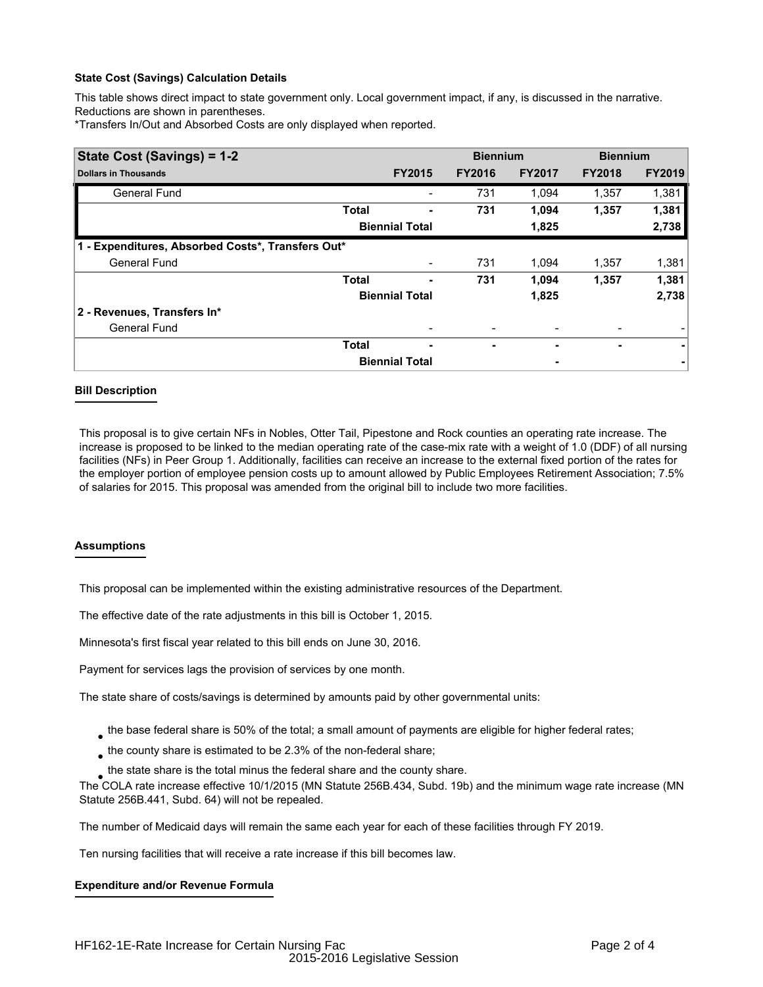## **State Cost (Savings) Calculation Details**

This table shows direct impact to state government only. Local government impact, if any, is discussed in the narrative. Reductions are shown in parentheses.

\*Transfers In/Out and Absorbed Costs are only displayed when reported.

| State Cost (Savings) = 1-2                        |              | <b>Biennium</b>       |               | <b>Biennium</b> |               |               |  |
|---------------------------------------------------|--------------|-----------------------|---------------|-----------------|---------------|---------------|--|
| <b>Dollars in Thousands</b>                       |              | <b>FY2015</b>         | <b>FY2016</b> | <b>FY2017</b>   | <b>FY2018</b> | <b>FY2019</b> |  |
| <b>General Fund</b>                               |              |                       | 731           | 1.094           | 1,357         | 1,381         |  |
|                                                   | <b>Total</b> |                       | 731           | 1,094           | 1,357         | 1,381         |  |
|                                                   |              | <b>Biennial Total</b> |               | 1,825           |               | 2,738         |  |
| 1 - Expenditures, Absorbed Costs*, Transfers Out* |              |                       |               |                 |               |               |  |
| <b>General Fund</b>                               |              |                       | 731           | 1.094           | 1,357         | 1,381         |  |
|                                                   | <b>Total</b> |                       | 731           | 1,094           | 1,357         | 1,381         |  |
|                                                   |              | <b>Biennial Total</b> |               | 1,825           |               | 2,738         |  |
| 2 - Revenues, Transfers In*                       |              |                       |               |                 |               |               |  |
| <b>General Fund</b>                               |              |                       |               |                 |               |               |  |
|                                                   | <b>Total</b> | ۰                     | ۰             |                 | ۰             |               |  |
|                                                   |              | <b>Biennial Total</b> |               |                 |               |               |  |

### **Bill Description**

This proposal is to give certain NFs in Nobles, Otter Tail, Pipestone and Rock counties an operating rate increase. The increase is proposed to be linked to the median operating rate of the case-mix rate with a weight of 1.0 (DDF) of all nursing facilities (NFs) in Peer Group 1. Additionally, facilities can receive an increase to the external fixed portion of the rates for the employer portion of employee pension costs up to amount allowed by Public Employees Retirement Association; 7.5% of salaries for 2015. This proposal was amended from the original bill to include two more facilities.

### **Assumptions**

This proposal can be implemented within the existing administrative resources of the Department.

The effective date of the rate adjustments in this bill is October 1, 2015.

Minnesota's first fiscal year related to this bill ends on June 30, 2016.

Payment for services lags the provision of services by one month.

The state share of costs/savings is determined by amounts paid by other governmental units:

- $_{\bullet}$  the base federal share is 50% of the total; a small amount of payments are eligible for higher federal rates;
- $_{\bullet}$  the county share is estimated to be 2.3% of the non-federal share;
- $_{\bullet}$  the state share is the total minus the federal share and the county share.

The COLA rate increase effective 10/1/2015 (MN Statute 256B.434, Subd. 19b) and the minimum wage rate increase (MN Statute 256B.441, Subd. 64) will not be repealed.

The number of Medicaid days will remain the same each year for each of these facilities through FY 2019.

Ten nursing facilities that will receive a rate increase if this bill becomes law.

### **Expenditure and/or Revenue Formula**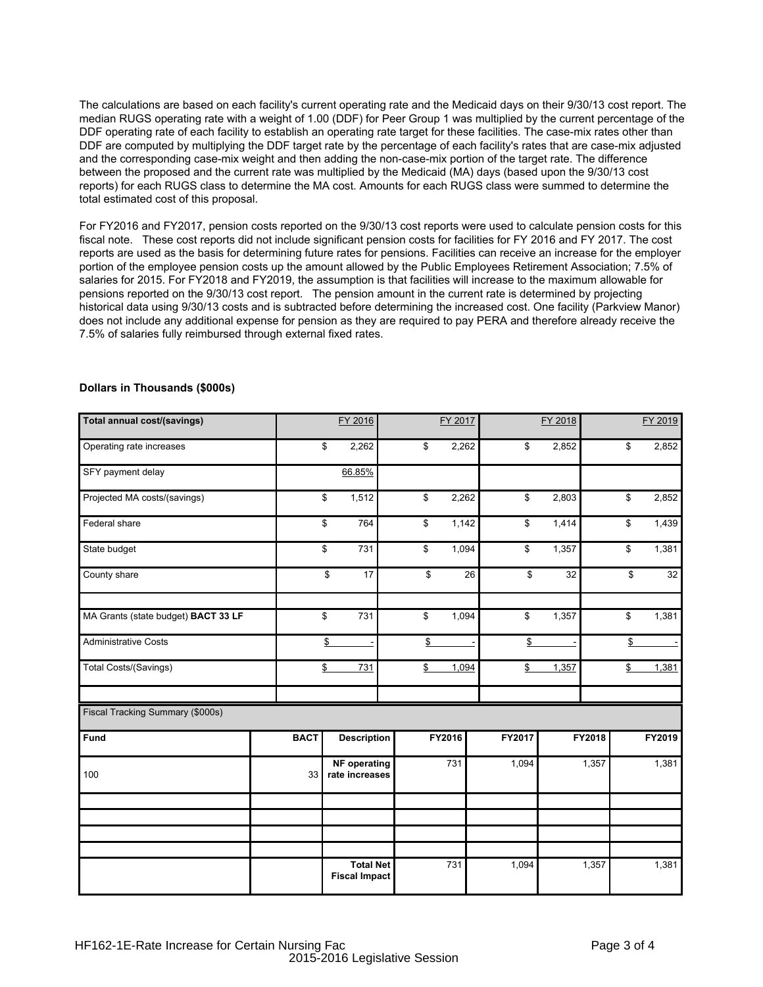The calculations are based on each facility's current operating rate and the Medicaid days on their 9/30/13 cost report. The median RUGS operating rate with a weight of 1.00 (DDF) for Peer Group 1 was multiplied by the current percentage of the DDF operating rate of each facility to establish an operating rate target for these facilities. The case-mix rates other than DDF are computed by multiplying the DDF target rate by the percentage of each facility's rates that are case-mix adjusted and the corresponding case-mix weight and then adding the non-case-mix portion of the target rate. The difference between the proposed and the current rate was multiplied by the Medicaid (MA) days (based upon the 9/30/13 cost reports) for each RUGS class to determine the MA cost. Amounts for each RUGS class were summed to determine the total estimated cost of this proposal.

For FY2016 and FY2017, pension costs reported on the 9/30/13 cost reports were used to calculate pension costs for this fiscal note. These cost reports did not include significant pension costs for facilities for FY 2016 and FY 2017. The cost reports are used as the basis for determining future rates for pensions. Facilities can receive an increase for the employer portion of the employee pension costs up the amount allowed by the Public Employees Retirement Association; 7.5% of salaries for 2015. For FY2018 and FY2019, the assumption is that facilities will increase to the maximum allowable for pensions reported on the 9/30/13 cost report. The pension amount in the current rate is determined by projecting historical data using 9/30/13 costs and is subtracted before determining the increased cost. One facility (Parkview Manor) does not include any additional expense for pension as they are required to pay PERA and therefore already receive the 7.5% of salaries fully reimbursed through external fixed rates.

| Total annual cost/(savings)         |             |                 | FY 2016                                  |    |        | FY 2017 |        | FY 2018 |        |                 | FY 2019  |
|-------------------------------------|-------------|-----------------|------------------------------------------|----|--------|---------|--------|---------|--------|-----------------|----------|
| Operating rate increases            |             | \$              | 2,262                                    | \$ |        | 2,262   | \$     | 2,852   |        | \$              | 2,852    |
| SFY payment delay                   |             |                 | 66.85%                                   |    |        |         |        |         |        |                 |          |
| Projected MA costs/(savings)        |             | \$              | 1,512                                    | \$ |        | 2,262   | \$     | 2,803   |        | $\overline{\$}$ | 2,852    |
| Federal share                       |             | \$              | 764                                      | \$ |        | 1,142   | \$     | 1,414   |        | $\overline{\$}$ | 1,439    |
| State budget                        |             | \$              | 731                                      | \$ |        | 1,094   | \$     | 1,357   |        | \$              | 1,381    |
| County share                        |             | \$              | 17                                       |    | \$     | 26      | \$     | 32      |        | \$              | 32       |
| MA Grants (state budget) BACT 33 LF |             | $\overline{\$}$ | 731                                      | \$ |        | 1,094   | \$     | 1,357   |        | \$              | 1,381    |
| <b>Administrative Costs</b>         |             | \$              |                                          |    | \$     |         | \$     |         |        | \$              | $\equiv$ |
| Total Costs/(Savings)               |             | $\mathbb{S}$    | 731                                      | \$ |        | 1,094   | \$     | 1,357   |        | \$              | 1,381    |
|                                     |             |                 |                                          |    |        |         |        |         |        |                 |          |
| Fiscal Tracking Summary (\$000s)    |             |                 |                                          |    |        |         |        |         |        |                 |          |
| Fund                                | <b>BACT</b> |                 | <b>Description</b>                       |    | FY2016 |         | FY2017 |         | FY2018 |                 | FY2019   |
| 100                                 | 33          |                 | <b>NF</b> operating<br>rate increases    |    |        | 731     | 1,094  |         | 1,357  |                 | 1,381    |
|                                     |             |                 |                                          |    |        |         |        |         |        |                 |          |
|                                     |             |                 |                                          |    |        |         |        |         |        |                 |          |
|                                     |             |                 |                                          |    |        |         |        |         |        |                 |          |
|                                     |             |                 | <b>Total Net</b><br><b>Fiscal Impact</b> |    |        | 731     | 1,094  |         | 1,357  |                 | 1,381    |

## **Dollars in Thousands (\$000s)**